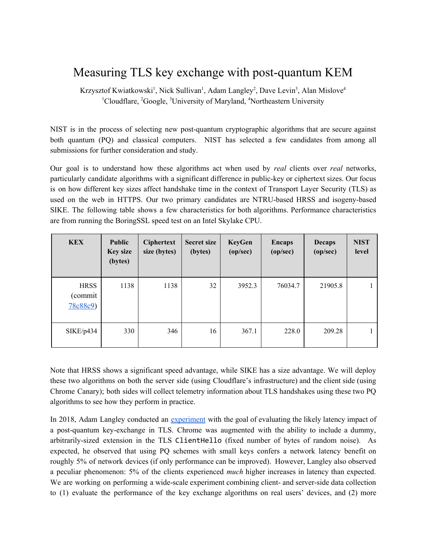# Measuring TLS key exchange with post-quantum KEM

Krzysztof Kwiatkowski<sup>1</sup>, Nick Sullivan<sup>1</sup>, Adam Langley<sup>2</sup>, Dave Levin<sup>3</sup>, Alan Mislove<sup>4</sup> <sup>1</sup>Cloudflare, <sup>2</sup>Google, <sup>3</sup>University of Maryland, <sup>4</sup>Northeastern University

 submissions for further consideration and study. NIST is in the process of selecting new post-quantum cryptographic algorithms that are secure against both quantum (PQ) and classical computers. NIST has selected a few candidates from among all

 are from running the BoringSSL speed test on an Intel Skylake CPU. Our goal is to understand how these algorithms act when used by *real* clients over *real* networks, particularly candidate algorithms with a significant difference in public-key or ciphertext sizes. Our focus is on how different key sizes affect handshake time in the context of Transport Layer Security (TLS) as used on the web in HTTPS. Our two primary candidates are NTRU-based HRSS and isogeny-based SIKE. The following table shows a few characteristics for both algorithms. Performance characteristics

| <b>KEX</b>                        | <b>Public</b><br><b>Key size</b><br>(bytes) | <b>Ciphertext</b><br>size (bytes) | <b>Secret size</b><br>(bytes) | <b>KeyGen</b><br>(op/sec) | <b>Encaps</b><br>(op/sec) | <b>Decaps</b><br>(op/sec) | <b>NIST</b><br>level |
|-----------------------------------|---------------------------------------------|-----------------------------------|-------------------------------|---------------------------|---------------------------|---------------------------|----------------------|
| <b>HRSS</b><br>(commit<br>78c88c9 | 1138                                        | 1138                              | 32                            | 3952.3                    | 76034.7                   | 21905.8                   |                      |
| SIKE/p434                         | 330                                         | 346                               | 16                            | 367.1                     | 228.0                     | 209.28                    |                      |

 algorithms to see how they perform in practice. Note that HRSS shows a significant speed advantage, while SIKE has a size advantage. We will deploy these two algorithms on both the server side (using Cloudflare's infrastructure) and the client side (using Chrome Canary); both sides will collect telemetry information about TLS handshakes using these two PQ

In 2018, Adam Langley conducted an [experiment](https://www.imperialviolet.org/2018/04/11/pqconftls.html) with the goal of evaluating the likely latency impact of a post-quantum key-exchange in TLS. Chrome was augmented with the ability to include a dummy, arbitrarily-sized extension in the TLS ClientHello (fixed number of bytes of random noise). As expected, he observed that using PQ schemes with small keys confers a network latency benefit on roughly 5% of network devices (if only performance can be improved). However, Langley also observed a peculiar phenomenon: 5% of the clients experienced *much* higher increases in latency than expected. We are working on performing a wide-scale experiment combining client- and server-side data collection to (1) evaluate the performance of the key exchange algorithms on real users' devices, and (2) more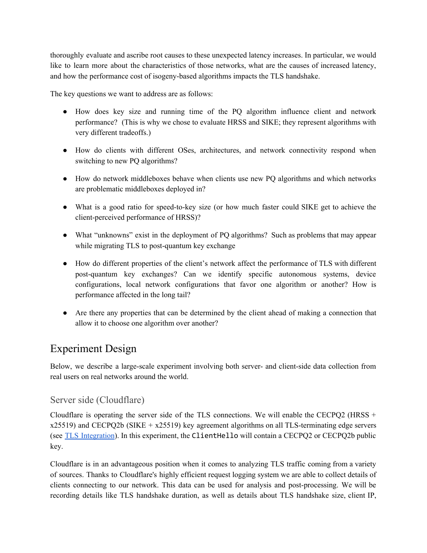and how the performance cost of isogeny-based algorithms impacts the TLS handshake. thoroughly evaluate and ascribe root causes to these unexpected latency increases. In particular, we would like to learn more about the characteristics of those networks, what are the causes of increased latency,

The key questions we want to address are as follows:

- very different tradeoffs.) ● How does key size and running time of the PQ algorithm influence client and network performance? (This is why we chose to evaluate HRSS and SIKE; they represent algorithms with
- switching to new PQ algorithms? ● How do clients with different OSes, architectures, and network connectivity respond when
- are problematic middleboxes deployed in? ● How do network middleboxes behave when clients use new PQ algorithms and which networks
- client-perceived performance of HRSS)? ● What is a good ratio for speed-to-key size (or how much faster could SIKE get to achieve the
- while migrating TLS to post-quantum key exchange ● What "unknowns" exist in the deployment of PQ algorithms? Such as problems that may appear
- performance affected in the long tail? ● How do different properties of the client's network affect the performance of TLS with different post-quantum key exchanges? Can we identify specific autonomous systems, device configurations, local network configurations that favor one algorithm or another? How is
- allow it to choose one algorithm over another? ● Are there any properties that can be determined by the client ahead of making a connection that

## Experiment Design

 real users on real networks around the world. Below, we describe a large-scale experiment involving both server- and client-side data collection from

### Server side (Cloudflare)

Cloudflare is operating the server side of the TLS connections. We will enable the CECPQ2 (HRSS + x25519) and CECPQ2b (SIKE + x25519) key agreement algorithms on all TLS-terminating edge servers (see TLS Integration). In this experiment, the ClientHello will contain a CECPQ2 or CECPQ2b public key.

Cloudflare is in an advantageous position when it comes to analyzing TLS traffic coming from a variety of sources. Thanks to Cloudflare's highly efficient request logging system we are able to collect details of clients connecting to our network. This data can be used for analysis and post-processing. We will be recording details like TLS handshake duration, as well as details about TLS handshake size, client IP,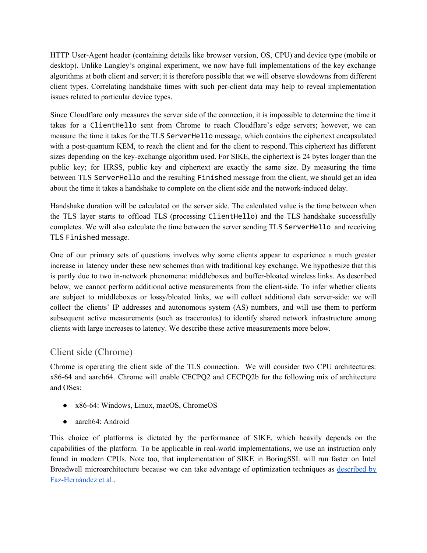issues related to particular device types. HTTP User-Agent header (containing details like browser version, OS, CPU) and device type (mobile or desktop). Unlike Langley's original experiment, we now have full implementations of the key exchange algorithms at both client and server; it is therefore possible that we will observe slowdowns from different client types. Correlating handshake times with such per-client data may help to reveal implementation

 about the time it takes a handshake to complete on the client side and the network-induced delay. Since Cloudflare only measures the server side of the connection, it is impossible to determine the time it takes for a ClientHello sent from Chrome to reach Cloudflare's edge servers; however, we can measure the time it takes for the TLS ServerHello message, which contains the ciphertext encapsulated with a post-quantum KEM, to reach the client and for the client to respond. This ciphertext has different sizes depending on the key-exchange algorithm used. For SIKE, the ciphertext is 24 bytes longer than the public key; for HRSS, public key and ciphertext are exactly the same size. By measuring the time between TLS ServerHello and the resulting Finished message from the client, we should get an idea

 TLS Finished message. Handshake duration will be calculated on the server side. The calculated value is the time between when the TLS layer starts to offload TLS (processing ClientHello) and the TLS handshake successfully completes. We will also calculate the time between the server sending TLS ServerHello and receiving

 clients with large increases to latency. We describe these active measurements more below. One of our primary sets of questions involves why some clients appear to experience a much greater increase in latency under these new schemes than with traditional key exchange. We hypothesize that this is partly due to two in-network phenomena: middleboxes and buffer-bloated wireless links. As described below, we cannot perform additional active measurements from the client-side. To infer whether clients are subject to middleboxes or lossy/bloated links, we will collect additional data server-side: we will collect the clients' IP addresses and autonomous system (AS) numbers, and will use them to perform subsequent active measurements (such as traceroutes) to identify shared network infrastructure among

### Client side (Chrome)

Chrome is operating the client side of the TLS connection. We will consider two CPU architectures: x86-64 and aarch64. Chrome will enable CECPQ2 and CECPQ2b for the following mix of architecture and OSes:

- x86-64: Windows, Linux, macOS, ChromeOS
- aarch64: Android

 [Faz-Hernández](https://eprint.iacr.org/2017/1015.pdf) et al..This choice of platforms is dictated by the performance of SIKE, which heavily depends on the capabilities of the platform. To be applicable in real-world implementations, we use an instruction only found in modern CPUs. Note too, that implementation of SIKE in BoringSSL will run faster on Intel Broadwell microarchitecture because we can take advantage of optimization techniques as [described](https://eprint.iacr.org/2017/1015.pdf) by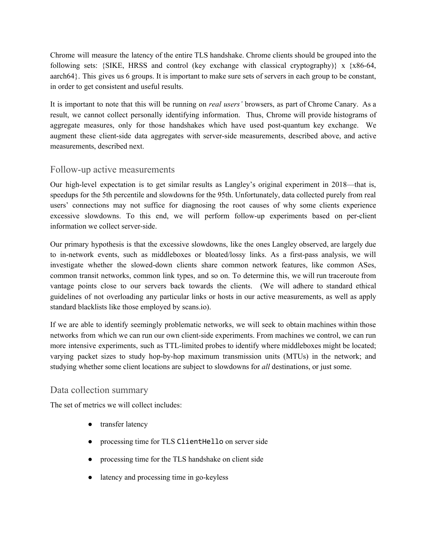in order to get consistent and useful results. Chrome will measure the latency of the entire TLS handshake. Chrome clients should be grouped into the following sets: {SIKE, HRSS and control (key exchange with classical cryptography)} x {x86-64, aarch64}. This gives us 6 groups. It is important to make sure sets of servers in each group to be constant,

 measurements, described next. It is important to note that this will be running on *real users'* browsers, as part of Chrome Canary. As a result, we cannot collect personally identifying information. Thus, Chrome will provide histograms of aggregate measures, only for those handshakes which have used post-quantum key exchange. We augment these client-side data aggregates with server-side measurements, described above, and active

#### Follow-up active measurements

 information we collect server-side. Our high-level expectation is to get similar results as Langley's original experiment in 2018—that is, speedups for the 5th percentile and slowdowns for the 95th. Unfortunately, data collected purely from real users' connections may not suffice for diagnosing the root causes of why some clients experience excessive slowdowns. To this end, we will perform follow-up experiments based on per-client

 standard blacklists like those employed by scans.io). Our primary hypothesis is that the excessive slowdowns, like the ones Langley observed, are largely due to in-network events, such as middleboxes or bloated/lossy links. As a first-pass analysis, we will investigate whether the slowed-down clients share common network features, like common ASes, common transit networks, common link types, and so on. To determine this, we will run traceroute from vantage points close to our servers back towards the clients. (We will adhere to standard ethical guidelines of not overloading any particular links or hosts in our active measurements, as well as apply

 studying whether some client locations are subject to slowdowns for *all* destinations, or just some. If we are able to identify seemingly problematic networks, we will seek to obtain machines within those networks from which we can run our own client-side experiments. From machines we control, we can run more intensive experiments, such as TTL-limited probes to identify where middleboxes might be located; varying packet sizes to study hop-by-hop maximum transmission units (MTUs) in the network; and

#### Data collection summary

The set of metrics we will collect includes:

- transfer latency
- processing time for TLS ClientHello on server side
- processing time for the TLS handshake on client side
- latency and processing time in go-keyless